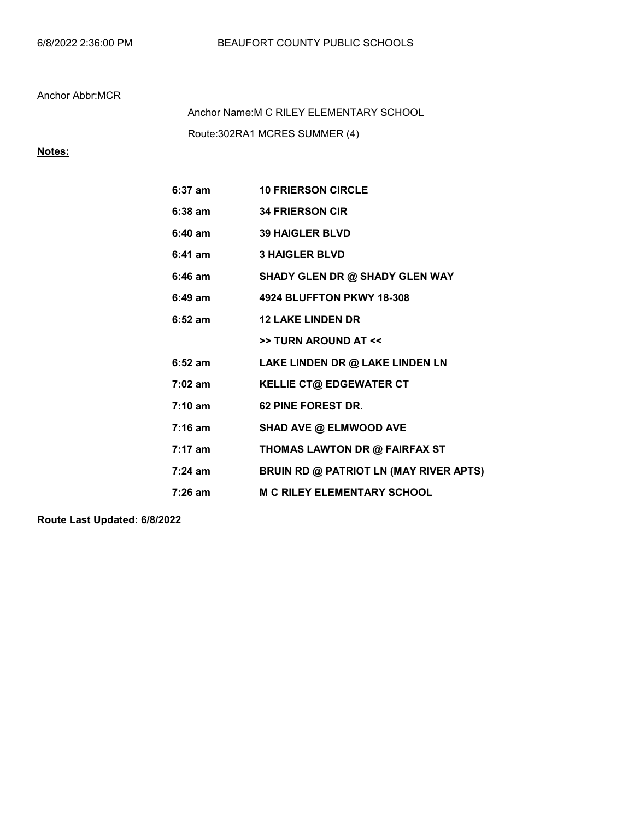## Anchor Abbr:MCR

Route:302RA1 MCRES SUMMER (4) Anchor Name:M C RILEY ELEMENTARY SCHOOL

## Notes:

| $6:37$ am         | <b>10 FRIERSON CIRCLE</b>              |  |  |
|-------------------|----------------------------------------|--|--|
| $6:38$ am         | <b>34 FRIERSON CIR</b>                 |  |  |
| $6:40$ am         | <b>39 HAIGLER BLVD</b>                 |  |  |
| $6:41$ am         | <b>3 HAIGLER BLVD</b>                  |  |  |
| $6:46$ am         | SHADY GLEN DR @ SHADY GLEN WAY         |  |  |
| $6:49 \text{ am}$ | 4924 BLUFFTON PKWY 18-308              |  |  |
| $6:52$ am         | <b>12 LAKE LINDEN DR</b>               |  |  |
|                   | >> TURN AROUND AT <<                   |  |  |
| $6:52$ am         | LAKE LINDEN DR @ LAKE LINDEN LN        |  |  |
| $7:02$ am         | <b>KELLIE CT@ EDGEWATER CT</b>         |  |  |
| $7:10 \text{ am}$ | 62 PINE FOREST DR.                     |  |  |
| $7:16$ am         | SHAD AVE @ ELMWOOD AVE                 |  |  |
| $7:17$ am         | THOMAS LAWTON DR @ FAIRFAX ST          |  |  |
| $7:24 \text{ am}$ | BRUIN RD @ PATRIOT LN (MAY RIVER APTS) |  |  |
| $7:26$ am         | <b>M C RILEY ELEMENTARY SCHOOL</b>     |  |  |

Route Last Updated: 6/8/2022